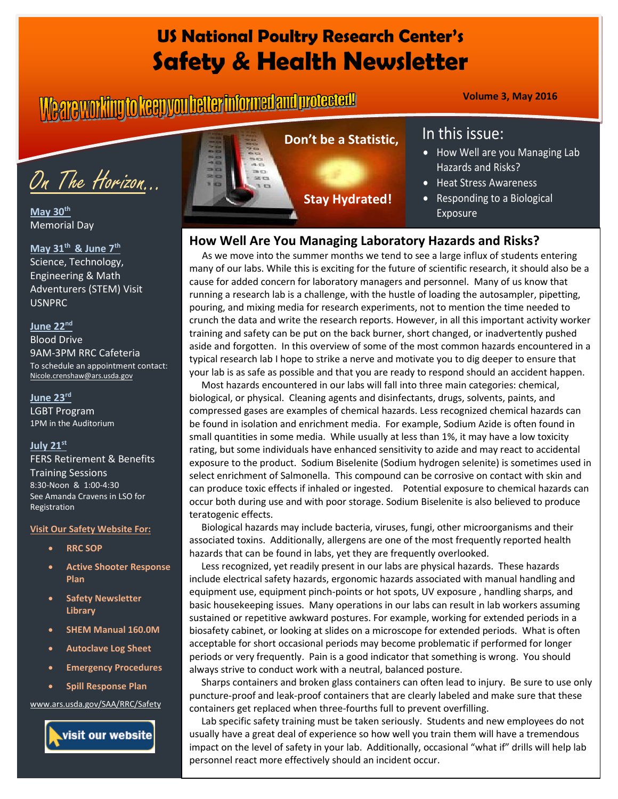# **US National Poultry Research Center's Safety & Health Newsletter**

# **Volume 3, May 2016**



**May 30th** Memorial Day

**May 31th & June 7th** Science, Technology, Engineering & Math Adventurers (STEM) Visit USNPRC

### **June 22nd**

Blood Drive 9AM-3PM RRC Cafeteria To schedule an appointment contact: [Nicole.crenshaw@ars.usda.gov](mailto:Nicole.crenshaw@ars.usda.gov)

### **June 23rd**

LGBT Program 1PM in the Auditorium

#### **July 21st**

FERS Retirement & Benefits Training Sessions 8:30-Noon & 1:00-4:30 See Amanda Cravens in LSO for Registration

#### **Visit Our Safety Website For:**

- **RRC SOP**
- **Active Shooter Response Plan**
- **Safety Newsletter Library**
- **SHEM Manual 160.0M**
- **Autoclave Log Sheet**
- **Emergency Procedures**
- **Spill Response Plan**

[www.ars.usda.gov/SAA/RRC/Safety](http://www.ars.usda.gov/SAA/RRC/Safety)





# In this issue:

- How Well are you Managing Lab Hazards and Risks?
- Heat Stress Awareness
- Responding to a Biological Exposure

# **How Well Are You Managing Laboratory Hazards and Risks?**

 As we move into the summer months we tend to see a large influx of students entering many of our labs. While this is exciting for the future of scientific research, it should also be a cause for added concern for laboratory managers and personnel. Many of us know that running a research lab is a challenge, with the hustle of loading the autosampler, pipetting, pouring, and mixing media for research experiments, not to mention the time needed to crunch the data and write the research reports. However, in all this important activity worker training and safety can be put on the back burner, short changed, or inadvertently pushed aside and forgotten. In this overview of some of the most common hazards encountered in a typical research lab I hope to strike a nerve and motivate you to dig deeper to ensure that your lab is as safe as possible and that you are ready to respond should an accident happen.

 Most hazards encountered in our labs will fall into three main categories: chemical, biological, or physical. Cleaning agents and disinfectants, drugs, solvents, paints, and compressed gases are examples of chemical hazards. Less recognized chemical hazards can be found in isolation and enrichment media. For example, Sodium Azide is often found in small quantities in some media. While usually at less than 1%, it may have a low toxicity rating, but some individuals have enhanced sensitivity to azide and may react to accidental exposure to the product. Sodium Biselenite (Sodium hydrogen selenite) is sometimes used in select enrichment of Salmonella. This compound can be corrosive on contact with skin and can produce toxic effects if inhaled or ingested. Potential exposure to chemical hazards can occur both during use and with poor storage. Sodium Biselenite is also believed to produce teratogenic effects.

 Biological hazards may include bacteria, viruses, fungi, other microorganisms and their associated toxins. Additionally, allergens are one of the most frequently reported health hazards that can be found in labs, yet they are frequently overlooked.

 Less recognized, yet readily present in our labs are physical hazards. These hazards include electrical safety hazards, ergonomic hazards associated with manual handling and equipment use, equipment pinch-points or hot spots, UV exposure , handling sharps, and basic housekeeping issues. Many operations in our labs can result in lab workers assuming sustained or repetitive awkward postures. For example, working for extended periods in a biosafety cabinet, or looking at slides on a microscope for extended periods. What is often acceptable for short occasional periods may become problematic if performed for longer periods or very frequently. Pain is a good indicator that something is wrong. You should always strive to conduct work with a neutral, balanced posture.

 Sharps containers and broken glass containers can often lead to injury. Be sure to use only puncture-proof and leak-proof containers that are clearly labeled and make sure that these containers get replaced when three-fourths full to prevent overfilling.

 Lab specific safety training must be taken seriously. Students and new employees do not usually have a great deal of experience so how well you train them will have a tremendous impact on the level of safety in your lab. Additionally, occasional "what if" drills will help lab personnel react more effectively should an incident occur.